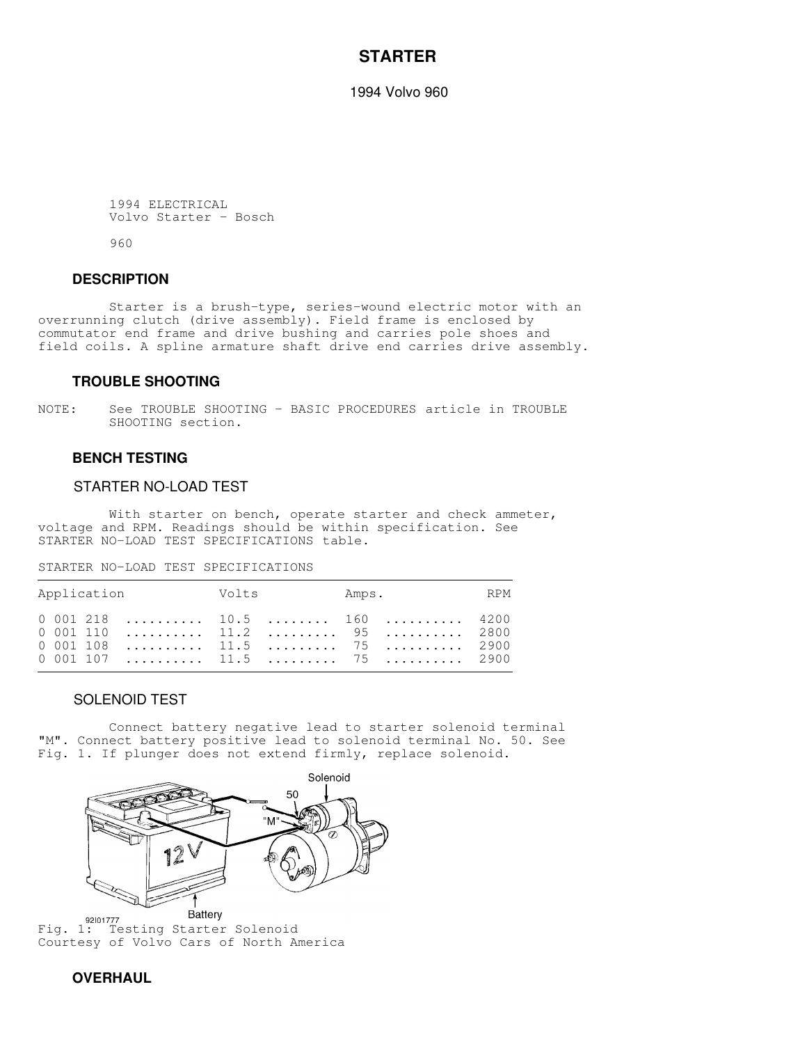# **STARTER**

1994 Volvo 960

 1994 ELECTRICAL Volvo Starter - Bosch

960

### **DESCRIPTION**

 Starter is a brush-type, series-wound electric motor with an overrunning clutch (drive assembly). Field frame is enclosed by commutator end frame and drive bushing and carries pole shoes and field coils. A spline armature shaft drive end carries drive assembly.

#### **TROUBLE SHOOTING**

NOTE: See TROUBLE SHOOTING - BASIC PROCEDURES article in TROUBLE SHOOTING section.

## **BENCH TESTING**

# STARTER NO-LOAD TEST

With starter on bench, operate starter and check ammeter, voltage and RPM. Readings should be within specification. See STARTER NO-LOAD TEST SPECIFICATIONS table.

,我们就会不会不会。""我们,我们不会不会不会,我们不会不会不会,我们不会不会不会不会。""我们,我们不会不会不会不会。""我们,我们不会不会不会不会。""我们

STARTER NO-LOAD TEST SPECIFICATIONS

| Application Volts Amps. RPM                                 |  |  |
|-------------------------------------------------------------|--|--|
| $0$ 001 218  10.5  160  4200<br>$0$ 001 110  11.2  95  2800 |  |  |

#### SOLENOID TEST

 Connect battery negative lead to starter solenoid terminal "M". Connect battery positive lead to solenoid terminal No. 50. See Fig. 1. If plunger does not extend firmly, replace solenoid.

,我们就会不会不会。""我们,我们不会不会不会,我们不会不会不会,我们不会不会不会不会。""我们,我们不会不会不会不会。""我们,我们不会不会不会不会。""我们



92101777<br>Fig. 1: Testing Starter Solenoid Courtesy of Volvo Cars of North America

# **OVERHAUL**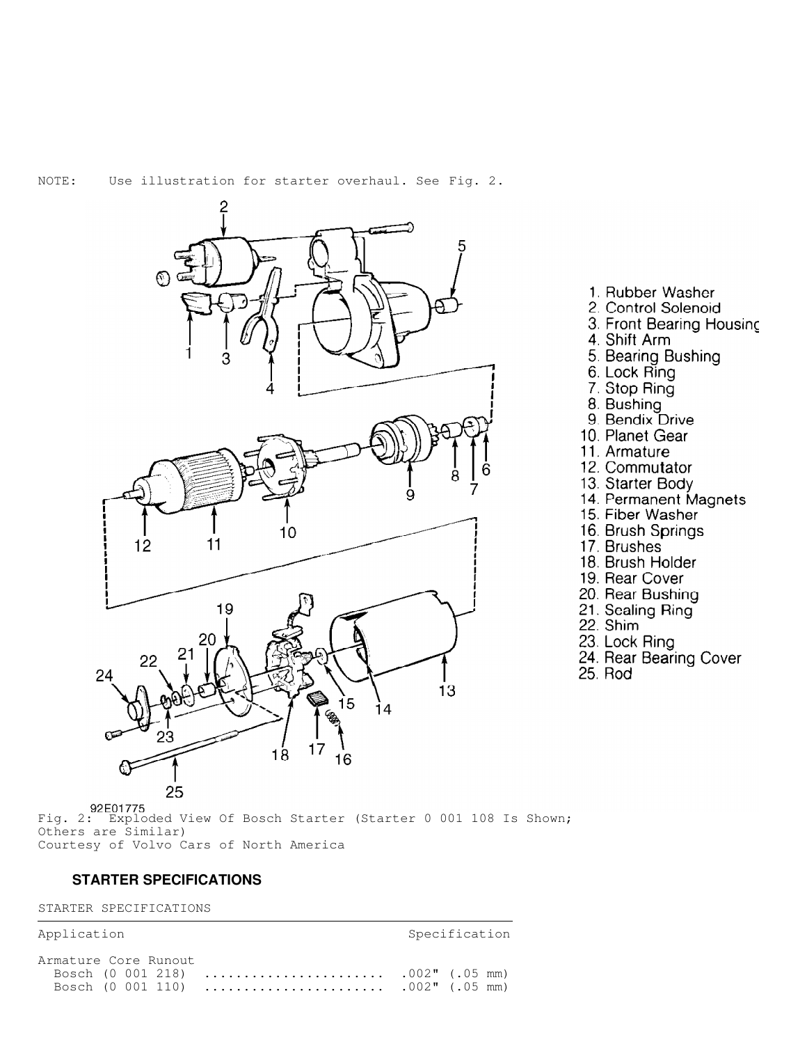

- 1. Rubber Washer
- 2. Control Solenoid
- 3. Front Bearing Housing
- 4. Shift Arm
- 5. Bearing Bushing
- 6. Lock Ring
- 7. Stop Ring
- 8. Bushing
- 9. Bendix Drive
- 10. Planet Gear
- 11. Armature
- 12. Commutator
- 13. Starter Body
- 14. Permanent Magnets
- 15. Fiber Washer
- 16. Brush Springs
- 17. Brushes
- 18. Brush Holder
- 19. Rear Cover
- 20. Rear Bushing
- 21. Sealing Ring
- 22. Shim
- 23. Lock Ring
- 24. Rear Bearing Cover
- 25. Rod

92E01775<br>Fig. 2: Exploded View Of Bosch Starter (Starter 0 001 108 Is Shown; Others are Similar) Courtesy of Volvo Cars of North America

# **STARTER SPECIFICATIONS**

#### STARTER SPECIFICATIONS

Application Specification Armature Core Runout Bosch (0 001 218)  $.002"$  (.05 mm) . . . . . . . . . . . . . Bosch (0 001 110)  $.002$ " (.05 mm)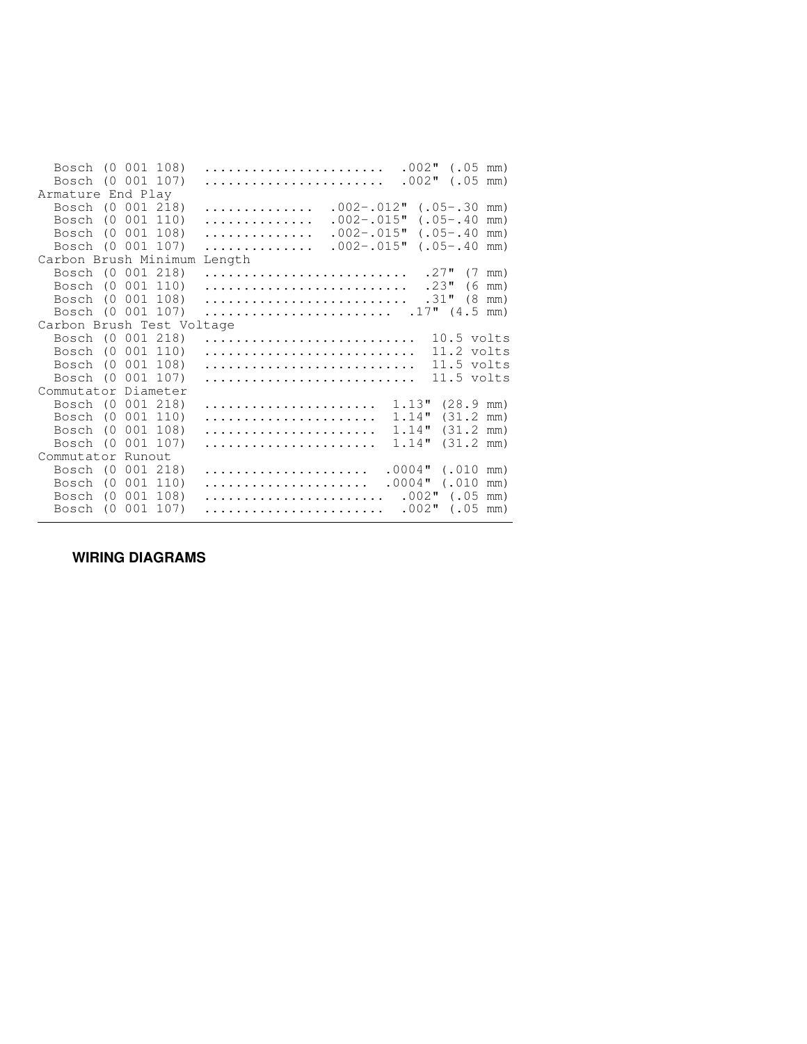| Bosch (0 001 108)<br>Bosch (0 001 107) |     |            |          | $.002$ " (.05 mm)<br>$.002"$ (.05 mm)  |                       |  |  |
|----------------------------------------|-----|------------|----------|----------------------------------------|-----------------------|--|--|
| Armature End Play                      |     |            |          |                                        |                       |  |  |
| Bosch (0 001 218)                      |     |            |          | $.002 - .012$ "<br>$(.05-.30$ mm)<br>. |                       |  |  |
| Bosch                                  |     | $(0\ 001)$ | 110)     | $.002 - .015$ "<br>$(.05-.40)$<br>.    | mm)                   |  |  |
| Bosch (0 001 108)                      |     |            |          | $.002 - .015$ "<br>$(.05-.40)$<br>.    | mm)                   |  |  |
| Bosch (0 001 107)                      |     |            |          | $.002 - .015$ "<br>$(.05-.40)$<br>.    | mm)                   |  |  |
| Carbon Brush Minimum<br>Length         |     |            |          |                                        |                       |  |  |
| Bosch (0 001 218)                      |     |            |          | $.27"$ (7 mm)                          |                       |  |  |
| Bosch (0                               |     |            | 001 110) | .23"                                   | $(6 \text{ mm})$      |  |  |
| Bosch (0 001                           |     |            | 108)     | .31"                                   | $(8 \text{ mm})$      |  |  |
| Bosch (0 001 107)                      |     |            |          | $.17"$ $(4.5$ mm)                      |                       |  |  |
| Carbon Brush Test Voltage              |     |            |          |                                        |                       |  |  |
| Bosch (0 001 218)                      |     |            |          | $10.5$ volts                           |                       |  |  |
| Bosch (0 001 110)                      |     |            |          | 11.2 volts                             |                       |  |  |
| Bosch (0 001                           |     |            | 108)     | $11.5$ volts                           |                       |  |  |
| Bosch (0 001 107)                      |     |            |          | $11.5$ volts                           |                       |  |  |
| Commutator Diameter                    |     |            |          |                                        |                       |  |  |
| Bosch (0 001 218)                      |     |            |          | $1.13"$ $(28.9 \text{ mm})$            |                       |  |  |
| Bosch                                  | (0) | 001        | 110)     | 1.14"                                  | $(31.2 \, \text{mm})$ |  |  |
| Bosch                                  | (0) |            | 001 108) | 1.14"                                  | $(31.2 \, \text{mm})$ |  |  |
| Bosch                                  | (0) | 001        | 107)     | 1.14"                                  | $(31.2 \, mm)$        |  |  |
| Commutator Runout                      |     |            |          |                                        |                       |  |  |
| Bosch (0                               |     |            | 001 218) | $.0004"$ (.010 mm)                     |                       |  |  |
| Bosch                                  | (0) |            | 001 110) | $.0004"$ (.010 mm)                     |                       |  |  |
| Bosch                                  | (0) | 001        | 108)     | $.002"$ (.05 mm)                       |                       |  |  |
| Bosch                                  | (0) | 001        | 107)     | $.002"$ (.05 mm)                       |                       |  |  |

 **WIRING DIAGRAMS**